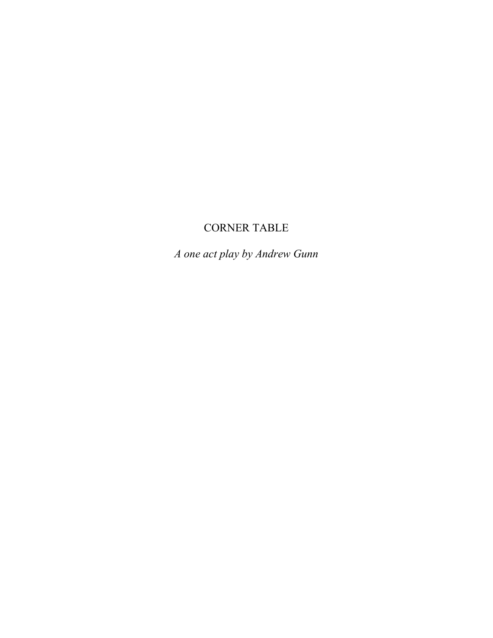# CORNER TABLE

*A one act play by Andrew Gunn*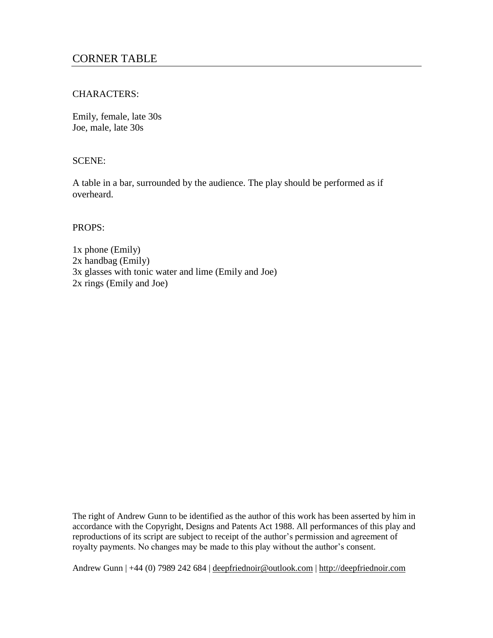# CHARACTERS:

Emily, female, late 30s Joe, male, late 30s

# SCENE:

A table in a bar, surrounded by the audience. The play should be performed as if overheard.

PROPS:

1x phone (Emily) 2x handbag (Emily) 3x glasses with tonic water and lime (Emily and Joe) 2x rings (Emily and Joe)

The right of Andrew Gunn to be identified as the author of this work has been asserted by him in accordance with the Copyright, Designs and Patents Act 1988. All performances of this play and reproductions of its script are subject to receipt of the author's permission and agreement of royalty payments. No changes may be made to this play without the author's consent.

Andrew Gunn | +44 (0) 7989 242 684 | [deepfriednoir@outlook.com](mailto:deepfriednoir@outlook.com) | [http://deepfriednoir.com](http://deepfriednoir.com/)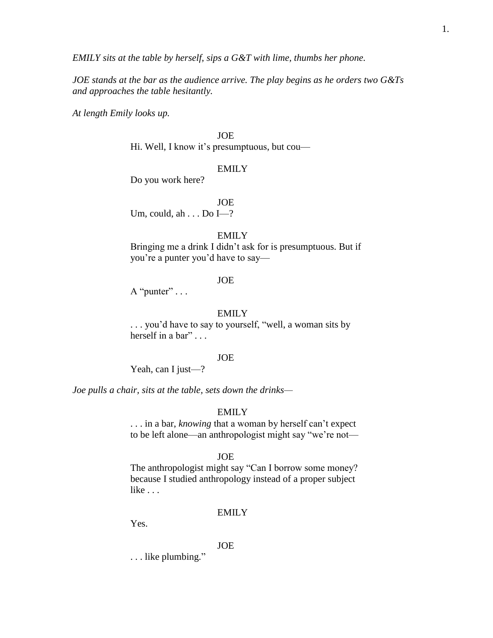*EMILY sits at the table by herself, sips a G&T with lime, thumbs her phone.*

*JOE stands at the bar as the audience arrive. The play begins as he orders two G&Ts and approaches the table hesitantly.*

*At length Emily looks up.*

JOE

Hi. Well, I know it's presumptuous, but cou—

### EMILY

Do you work here?

JOE

Um, could, ah . . . Do I-?

#### EMILY

Bringing me a drink I didn't ask for is presumptuous. But if you're a punter you'd have to say—

### JOE

A "punter"  $\dots$ 

### EMILY

. . . you'd have to say to yourself, "well, a woman sits by herself in a bar" ...

### JOE

Yeah, can I just—?

*Joe pulls a chair, sits at the table, sets down the drinks—*

### EMILY

. . . in a bar, *knowing* that a woman by herself can't expect to be left alone—an anthropologist might say "we're not—

#### JOE

The anthropologist might say "Can I borrow some money? because I studied anthropology instead of a proper subject like . . .

#### EMILY

Yes.

### JOE

. . . like plumbing."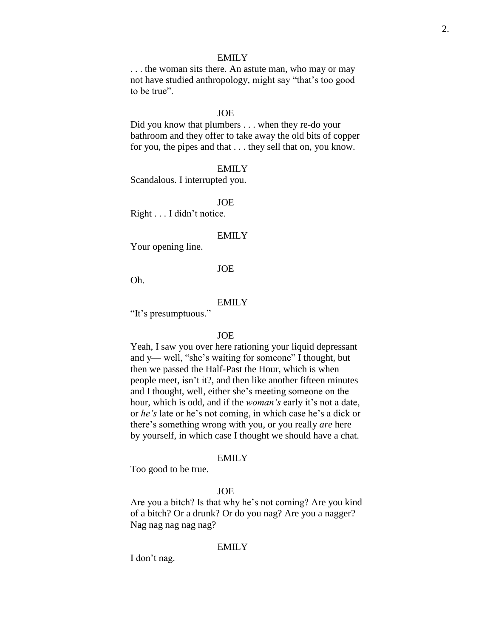. . . the woman sits there. An astute man, who may or may not have studied anthropology, might say "that's too good to be true".

### JOE

Did you know that plumbers . . . when they re-do your bathroom and they offer to take away the old bits of copper for you, the pipes and that . . . they sell that on, you know.

#### EMILY

Scandalous. I interrupted you.

#### JOE

Right . . . I didn't notice.

#### **EMILY**

Your opening line.

### JOE

Oh.

### EMILY

"It's presumptuous."

#### JOE

Yeah, I saw you over here rationing your liquid depressant and y— well, "she's waiting for someone" I thought, but then we passed the Half-Past the Hour, which is when people meet, isn't it?, and then like another fifteen minutes and I thought, well, either she's meeting someone on the hour, which is odd, and if the *woman's* early it's not a date, or *he's* late or he's not coming, in which case he's a dick or there's something wrong with you, or you really *are* here by yourself, in which case I thought we should have a chat.

### EMILY

Too good to be true.

### JOE

Are you a bitch? Is that why he's not coming? Are you kind of a bitch? Or a drunk? Or do you nag? Are you a nagger? Nag nag nag nag nag?

### EMILY

I don't nag.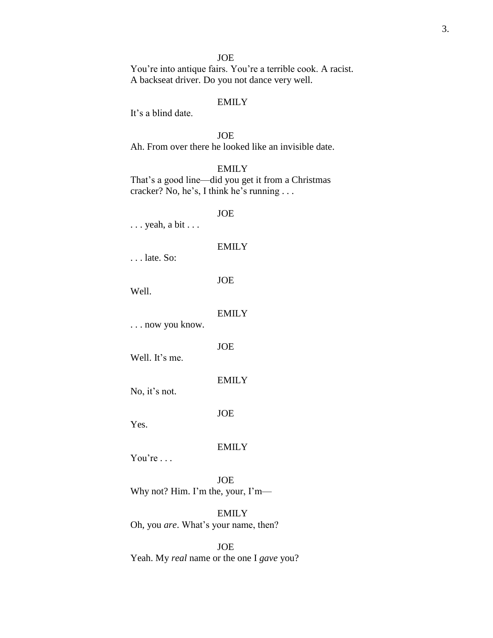You're into antique fairs. You're a terrible cook. A racist. A backseat driver. Do you not dance very well.

# EMILY

It's a blind date.

JOE Ah. From over there he looked like an invisible date.

### EMILY

That's a good line—did you get it from a Christmas cracker? No, he's, I think he's running . . .

JOE

. . . yeah, a bit . . .

#### EMILY

. . . late. So:

JOE

Well.

### EMILY

. . . now you know.

JOE

Well. It's me.

EMILY

No, it's not.

JOE

Yes.

#### EMILY

You're ...

JOE Why not? Him. I'm the, your, I'm—

EMILY Oh, you *are*. What's your name, then?

JOE Yeah. My *real* name or the one I *gave* you?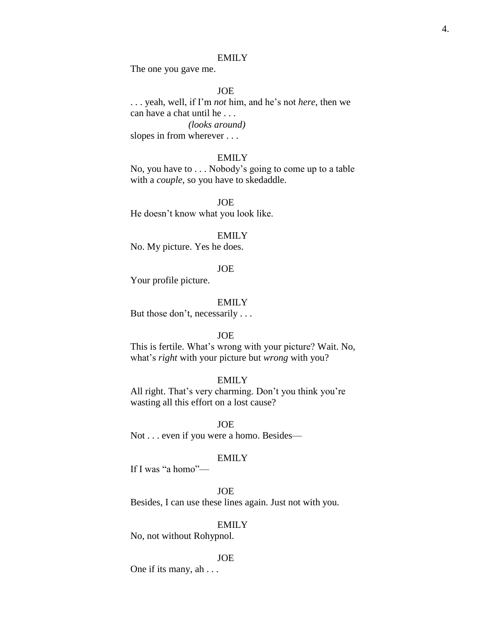The one you gave me.

### JOE

. . . yeah, well, if I'm *not* him, and he's not *here*, then we can have a chat until he . . . *(looks around)* slopes in from wherever . . .

#### EMILY

No, you have to . . . Nobody's going to come up to a table with a *couple*, so you have to skedaddle.

JOE He doesn't know what you look like.

#### EMILY

No. My picture. Yes he does.

### JOE

Your profile picture.

#### EMILY

But those don't, necessarily . . .

#### JOE

This is fertile. What's wrong with your picture? Wait. No, what's *right* with your picture but *wrong* with you?

### EMILY

All right. That's very charming. Don't you think you're wasting all this effort on a lost cause?

JOE Not . . . even if you were a homo. Besides—

#### EMILY

If I was "a homo"—

### JOE

Besides, I can use these lines again. Just not with you.

### EMILY

No, not without Rohypnol.

#### JOE

One if its many, ah . . .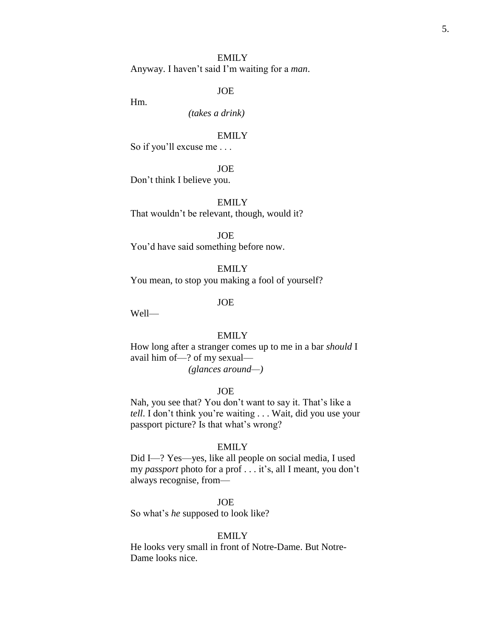Anyway. I haven't said I'm waiting for a *man*.

JOE

Hm.

*(takes a drink)*

EMILY

So if you'll excuse me . . .

JOE

Don't think I believe you.

EMILY That wouldn't be relevant, though, would it?

JOE

You'd have said something before now.

EMILY

You mean, to stop you making a fool of yourself?

JOE

Well—

#### EMILY

How long after a stranger comes up to me in a bar *should* I avail him of—? of my sexual— *(glances around—)*

#### JOE

Nah, you see that? You don't want to say it. That's like a *tell*. I don't think you're waiting . . . Wait, did you use your passport picture? Is that what's wrong?

### EMILY

Did I—? Yes—yes, like all people on social media, I used my *passport* photo for a prof . . . it's, all I meant, you don't always recognise, from—

JOE

So what's *he* supposed to look like?

### EMILY

He looks very small in front of Notre-Dame. But Notre-Dame looks nice.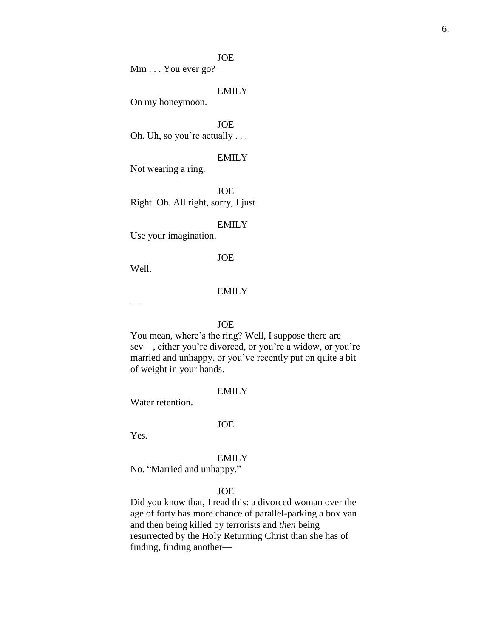Mm . . . You ever go?

### EMILY

On my honeymoon.

JOE Oh. Uh, so you're actually . . .

### EMILY

Not wearing a ring.

JOE Right. Oh. All right, sorry, I just—

#### EMILY

Use your imagination.

### JOE

Well.

### **EMILY**

—

### JOE

You mean, where's the ring? Well, I suppose there are sev—, either you're divorced, or you're a widow, or you're married and unhappy, or you've recently put on quite a bit of weight in your hands.

### EMILY

Water retention.

#### JOE

Yes.

### **EMILY**

No. "Married and unhappy."

# JOE

Did you know that, I read this: a divorced woman over the age of forty has more chance of parallel-parking a box van and then being killed by terrorists and *then* being resurrected by the Holy Returning Christ than she has of finding, finding another—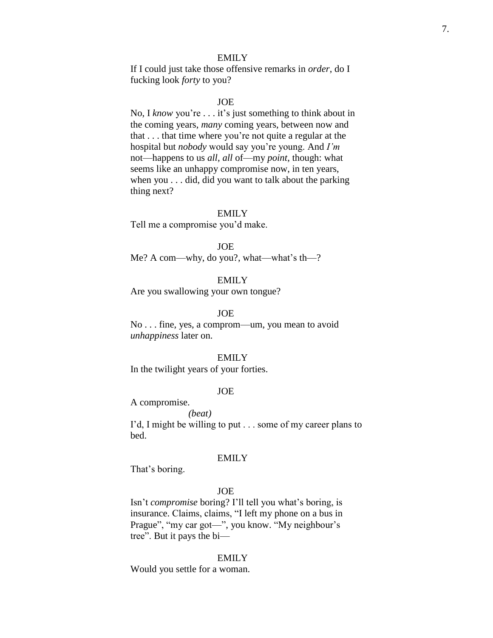If I could just take those offensive remarks in *order*, do I fucking look *forty* to you?

### JOE

No, I *know* you're . . . it's just something to think about in the coming years, *many* coming years, between now and that . . . that time where you're not quite a regular at the hospital but *nobody* would say you're young. And *I'm* not—happens to us *all*, *all* of—my *point*, though: what seems like an unhappy compromise now, in ten years, when you . . . did, did you want to talk about the parking thing next?

#### EMILY

Tell me a compromise you'd make.

JOE

Me? A com—why, do you?, what—what's th—?

EMILY

Are you swallowing your own tongue?

### JOE

No . . . fine, yes, a comprom—um, you mean to avoid *unhappiness* later on.

### EMILY

In the twilight years of your forties.

### JOE

A compromise.

*(beat)* I'd, I might be willing to put . . . some of my career plans to bed.

#### EMILY

That's boring.

# JOE

Isn't *compromise* boring? I'll tell you what's boring, is insurance. Claims, claims, "I left my phone on a bus in Prague", "my car got—", you know. "My neighbour's tree". But it pays the bi—

#### EMILY

Would you settle for a woman.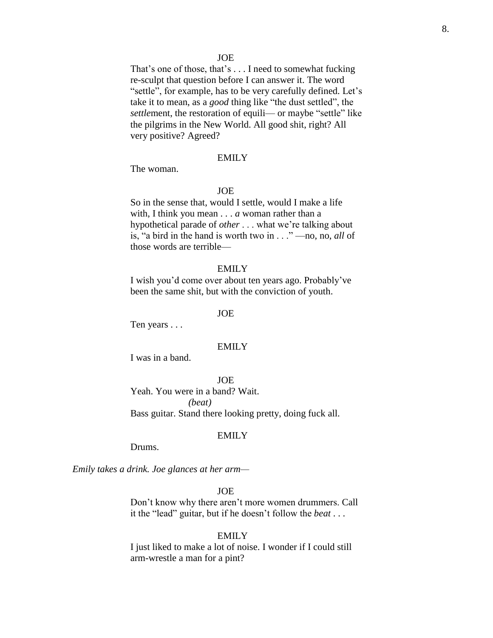That's one of those, that's . . . I need to somewhat fucking re-sculpt that question before I can answer it. The word "settle", for example, has to be very carefully defined. Let's take it to mean, as a *good* thing like "the dust settled", the *settlement, the restoration of equili— or maybe "settle" like* the pilgrims in the New World. All good shit, right? All very positive? Agreed?

#### EMILY

The woman.

#### JOE

So in the sense that, would I settle, would I make a life with, I think you mean . . . *a* woman rather than a hypothetical parade of *other* . . . what we're talking about is, "a bird in the hand is worth two in . . ." —no, no, *all* of those words are terrible—

#### EMILY

I wish you'd come over about ten years ago. Probably've been the same shit, but with the conviction of youth.

#### JOE

Ten years . . .

#### **EMILY**

I was in a band.

**JOE** 

Yeah. You were in a band? Wait. *(beat)* Bass guitar. Stand there looking pretty, doing fuck all.

#### **EMILY**

Drums.

*Emily takes a drink. Joe glances at her arm—*

JOE

Don't know why there aren't more women drummers. Call it the "lead" guitar, but if he doesn't follow the *beat* . . .

### EMILY

I just liked to make a lot of noise. I wonder if I could still arm-wrestle a man for a pint?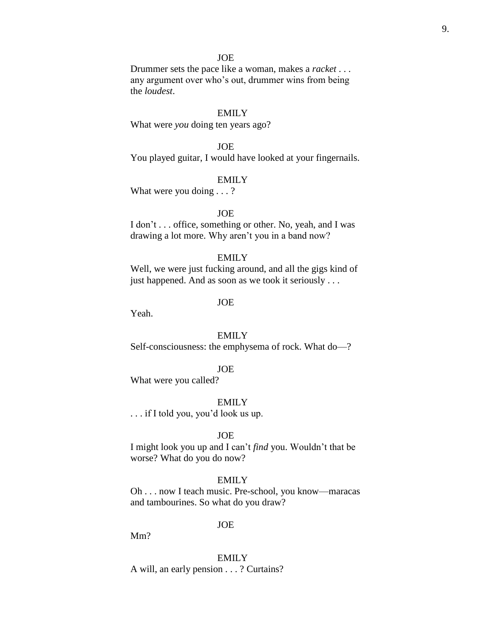Drummer sets the pace like a woman, makes a *racket* . . . any argument over who's out, drummer wins from being the *loudest*.

# EMILY

What were *you* doing ten years ago?

### JOE

You played guitar, I would have looked at your fingernails.

#### EMILY

What were you doing . . . ?

### **JOE**

I don't . . . office, something or other. No, yeah, and I was drawing a lot more. Why aren't you in a band now?

### EMILY

Well, we were just fucking around, and all the gigs kind of just happened. And as soon as we took it seriously . . .

### JOE

Yeah.

# EMILY

Self-consciousness: the emphysema of rock. What do—?

### JOE

What were you called?

#### EMILY

. . . if I told you, you'd look us up.

### JOE

I might look you up and I can't *find* you. Wouldn't that be worse? What do you do now?

# EMILY

Oh . . . now I teach music. Pre-school, you know—maracas and tambourines. So what do you draw?

#### JOE

Mm?

EMILY A will, an early pension . . . ? Curtains?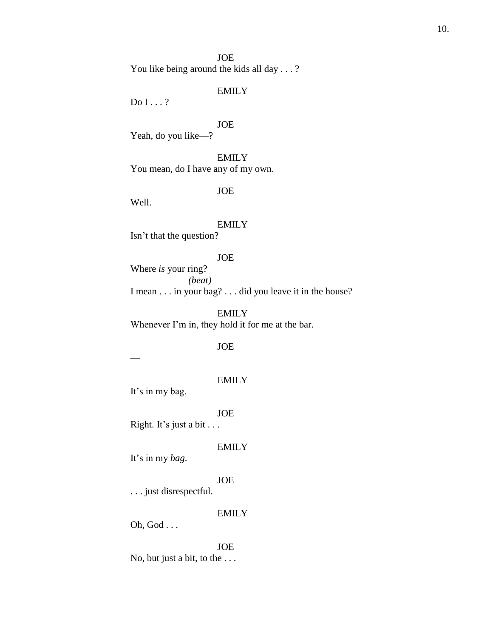JOE You like being around the kids all day . . . ?

# EMILY

Do I . . . ?

# JOE

Yeah, do you like—?

EMILY You mean, do I have any of my own.

### JOE

Well.

#### EMILY

Isn't that the question?

# JOE

Where *is* your ring? *(beat)* I mean . . . in your bag? . . . did you leave it in the house?

# EMILY

Whenever I'm in, they hold it for me at the bar.

# JOE

—

### EMILY

It's in my bag.

### JOE

Right. It's just a bit . . .

### EMILY

It's in my *bag*.

# JOE

. . . just disrespectful.

### EMILY

Oh, God . . .

# JOE No, but just a bit, to the . . .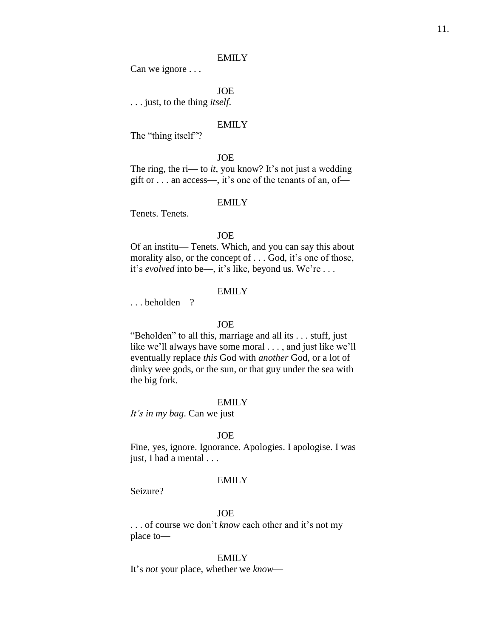Can we ignore . . .

JOE

. . . just, to the thing *itself*.

### EMILY

The "thing itself"?

#### JOE

The ring, the ri— to *it*, you know? It's not just a wedding gift or . . . an access—, it's one of the tenants of an, of—

#### EMILY

Tenets. Tenets.

### JOE

Of an institu— Tenets. Which, and you can say this about morality also, or the concept of . . . God, it's one of those, it's *evolved* into be—, it's like, beyond us. We're . . .

### EMILY

. . . beholden—?

### JOE

"Beholden" to all this, marriage and all its . . . stuff, just like we'll always have some moral . . . , and just like we'll eventually replace *this* God with *another* God, or a lot of dinky wee gods, or the sun, or that guy under the sea with the big fork.

#### EMILY

*It's in my bag*. Can we just—

#### JOE

Fine, yes, ignore. Ignorance. Apologies. I apologise. I was just, I had a mental . . .

### EMILY

Seizure?

## JOE

. . . of course we don't *know* each other and it's not my place to—

### EMILY

It's *not* your place, whether we *know*—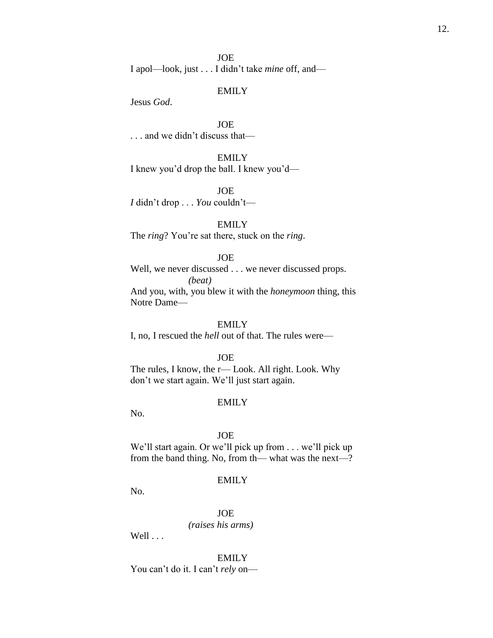Jesus *God*.

JOE . . . and we didn't discuss that—

EMILY I knew you'd drop the ball. I knew you'd—

JOE *I* didn't drop . . . *You* couldn't—

# EMILY

The *ring*? You're sat there, stuck on the *ring*.

### JOE

Well, we never discussed . . . we never discussed props. *(beat)* And you, with, you blew it with the *honeymoon* thing, this Notre Dame—

# EMILY

I, no, I rescued the *hell* out of that. The rules were—

JOE

The rules, I know, the r— Look. All right. Look. Why don't we start again. We'll just start again.

#### EMILY

No.

#### JOE

We'll start again. Or we'll pick up from . . . we'll pick up from the band thing. No, from th— what was the next—?

### EMILY

No.

JOE *(raises his arms)*

Well . . .

EMILY You can't do it. I can't *rely* on—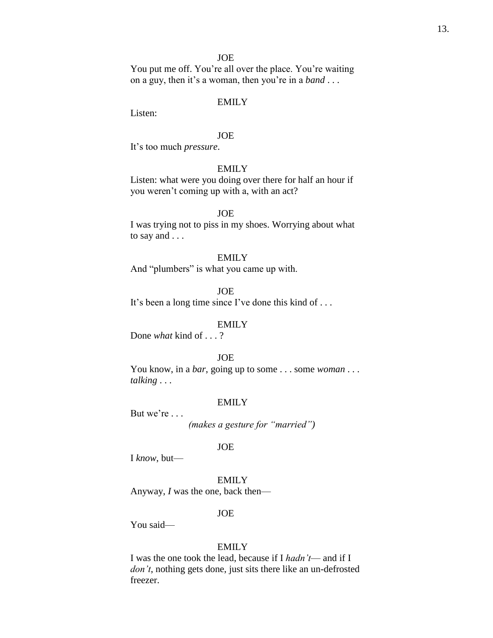You put me off. You're all over the place. You're waiting on a guy, then it's a woman, then you're in a *band* . . .

# EMILY

Listen:

### JOE

It's too much *pressure*.

# EMILY

Listen: what were you doing over there for half an hour if you weren't coming up with a, with an act?

### **JOE**

I was trying not to piss in my shoes. Worrying about what to say and . . .

### EMILY

And "plumbers" is what you came up with.

JOE

It's been a long time since I've done this kind of . . .

### EMILY

Done *what* kind of . . . ?

### JOE

You know, in a *bar*, going up to some . . . some *woman* . . . *talking* . . .

#### EMILY

But we're . . .

*(makes a gesture for "married")*

### JOE

I *know*, but—

EMILY

Anyway, *I* was the one, back then—

### JOE

You said—

### EMILY

I was the one took the lead, because if I *hadn't*— and if I *don't*, nothing gets done, just sits there like an un-defrosted freezer.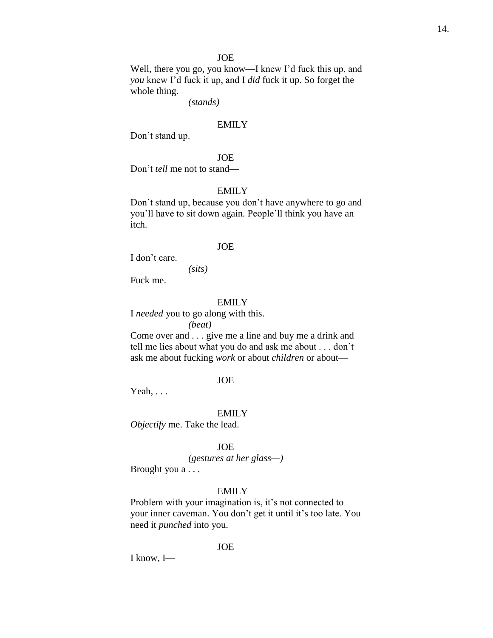Well, there you go, you know—I knew I'd fuck this up, and *you* knew I'd fuck it up, and I *did* fuck it up. So forget the whole thing.

*(stands)*

### EMILY

Don't stand up.

### JOE

Don't *tell* me not to stand—

### EMILY

Don't stand up, because you don't have anywhere to go and you'll have to sit down again. People'll think you have an itch.

#### JOE

I don't care.

*(sits)*

Fuck me.

#### EMILY

I *needed* you to go along with this. *(beat)*

Come over and . . . give me a line and buy me a drink and tell me lies about what you do and ask me about . . . don't ask me about fucking *work* or about *children* or about—

#### JOE

Yeah, . . .

#### EMILY

*Objectify* me. Take the lead.

#### JOE

### *(gestures at her glass—)*

Brought you a . . .

### EMILY

Problem with your imagination is, it's not connected to your inner caveman. You don't get it until it's too late. You need it *punched* into you.

JOE

I know, I—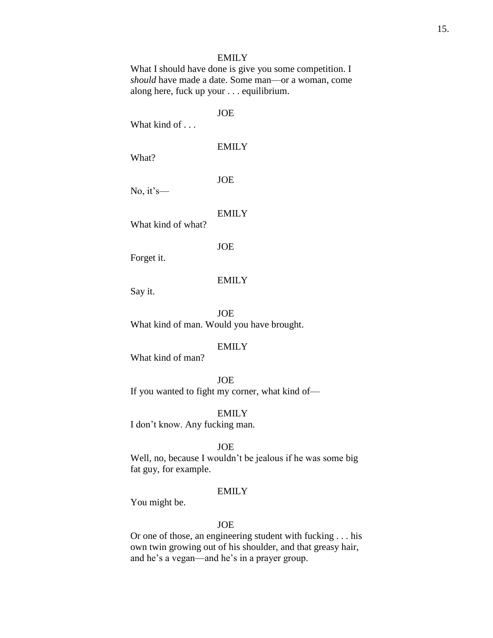What I should have done is give you some competition. I *should* have made a date. Some man—or a woman, come along here, fuck up your . . . equilibrium.

JOE

What kind of . . .

EMILY

What?

JOE

No, it's—

EMILY

What kind of what?

JOE

Forget it.

### EMILY

Say it.

JOE What kind of man. Would you have brought.

# EMILY

What kind of man?

### JOE

If you wanted to fight my corner, what kind of—

EMILY

I don't know. Any fucking man.

### JOE

Well, no, because I wouldn't be jealous if he was some big fat guy, for example.

### EMILY

You might be.

### JOE

Or one of those, an engineering student with fucking . . . his own twin growing out of his shoulder, and that greasy hair, and he's a vegan—and he's in a prayer group.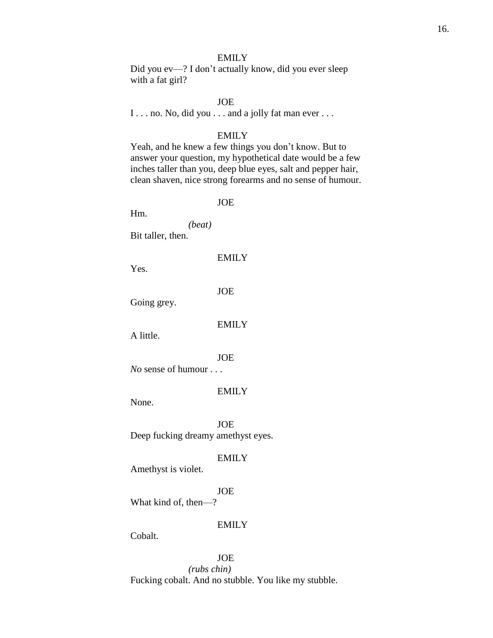Did you ev—? I don't actually know, did you ever sleep with a fat girl?

### JOE

I . . . no. No, did you . . . and a jolly fat man ever . . .

### EMILY

Yeah, and he knew a few things you don't know. But to answer your question, my hypothetical date would be a few inches taller than you, deep blue eyes, salt and pepper hair, clean shaven, nice strong forearms and no sense of humour.

### JOE

Hm.

*(beat)* Bit taller, then.

### EMILY

Yes.

JOE

Going grey.

### EMILY

A little.

JOE

*No* sense of humour . . .

### EMILY

None.

JOE Deep fucking dreamy amethyst eyes.

### EMILY

Amethyst is violet.

# JOE

What kind of, then—?

### EMILY

Cobalt.

#### JOE

*(rubs chin)* Fucking cobalt. And no stubble. You like my stubble.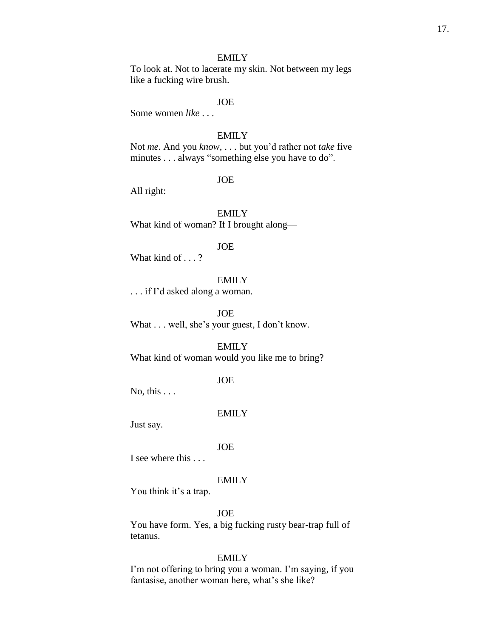To look at. Not to lacerate my skin. Not between my legs like a fucking wire brush.

### JOE

Some women *like* . . .

### EMILY

Not *me*. And you *know*, . . . but you'd rather not *take* five minutes . . . always "something else you have to do".

### JOE

All right:

EMILY What kind of woman? If I brought along—

#### JOE

What kind of . . . ?

# EMILY

. . . if I'd asked along a woman.

JOE

What . . . well, she's your guest, I don't know.

# EMILY

What kind of woman would you like me to bring?

#### JOE

No, this  $\ldots$ 

### EMILY

Just say.

#### JOE

I see where this

# EMILY

You think it's a trap.

## JOE

You have form. Yes, a big fucking rusty bear-trap full of tetanus.

# EMILY

I'm not offering to bring you a woman. I'm saying, if you fantasise, another woman here, what's she like?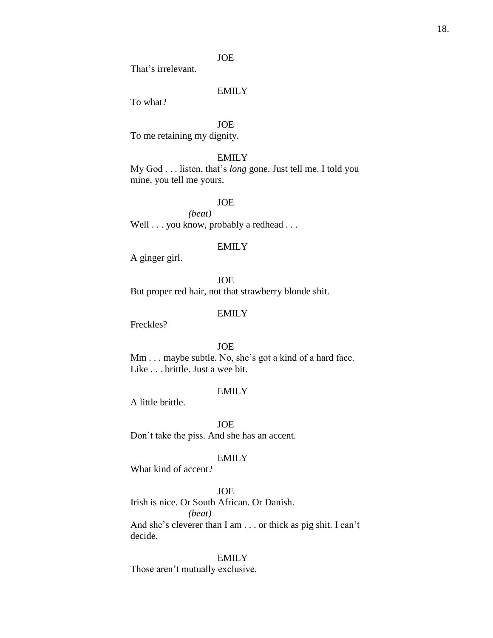That's irrelevant.

# EMILY

To what?

# JOE

To me retaining my dignity.

### EMILY

My God . . . listen, that's *long* gone. Just tell me. I told you mine, you tell me yours.

### JOE

*(beat)* Well . . . you know, probably a redhead . . .

#### EMILY

A ginger girl.

JOE But proper red hair, not that strawberry blonde shit.

### EMILY

Freckles?

# JOE

Mm . . . maybe subtle. No, she's got a kind of a hard face. Like . . . brittle. Just a wee bit.

### EMILY

A little brittle.

JOE

Don't take the piss. And she has an accent.

### EMILY

What kind of accent?

# JOE

Irish is nice. Or South African. Or Danish. *(beat)* And she's cleverer than I am . . . or thick as pig shit. I can't

decide.

# EMILY

Those aren't mutually exclusive.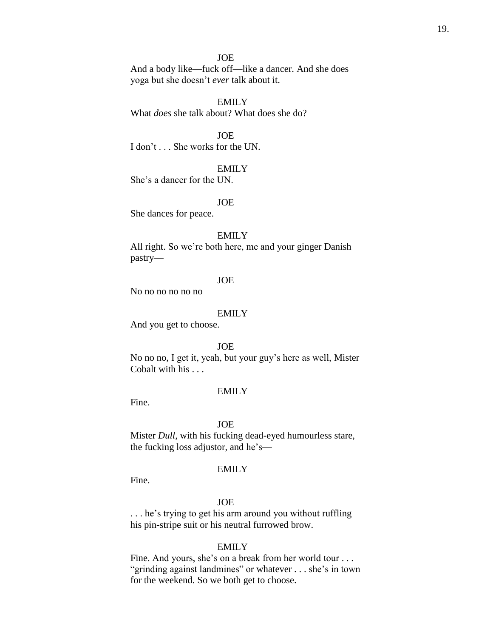And a body like—fuck off—like a dancer. And she does yoga but she doesn't *ever* talk about it.

EMILY What *does* she talk about? What does she do?

JOE I don't . . . She works for the UN.

### EMILY

She's a dancer for the UN.

#### JOE

She dances for peace.

#### EMILY

All right. So we're both here, me and your ginger Danish pastry—

### JOE

No no no no no ho —

#### EMILY

And you get to choose.

### JOE

No no no, I get it, yeah, but your guy's here as well, Mister Cobalt with his . . .

#### EMILY

Fine.

#### JOE

Mister *Dull*, with his fucking dead-eyed humourless stare, the fucking loss adjustor, and he's—

### EMILY

Fine.

### JOE

. . . he's trying to get his arm around you without ruffling his pin-stripe suit or his neutral furrowed brow.

### EMILY

Fine. And yours, she's on a break from her world tour . . . "grinding against landmines" or whatever . . . she's in town for the weekend. So we both get to choose.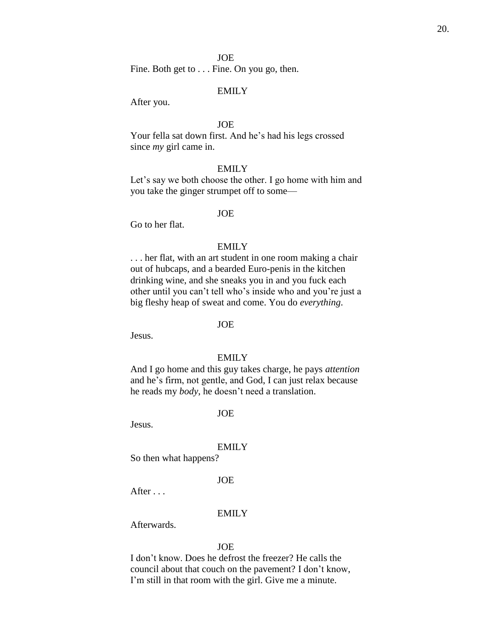Fine. Both get to . . . Fine. On you go, then.

### EMILY

After you.

### JOE

Your fella sat down first. And he's had his legs crossed since *my* girl came in.

### EMILY

Let's say we both choose the other. I go home with him and you take the ginger strumpet off to some—

### JOE

Go to her flat.

### EMILY

. . . her flat, with an art student in one room making a chair out of hubcaps, and a bearded Euro-penis in the kitchen drinking wine, and she sneaks you in and you fuck each other until you can't tell who's inside who and you're just a big fleshy heap of sweat and come. You do *everything*.

### JOE

Jesus.

### EMILY

And I go home and this guy takes charge, he pays *attention* and he's firm, not gentle, and God, I can just relax because he reads my *body*, he doesn't need a translation.

### JOE

Jesus.

#### EMILY

So then what happens?

### JOE

After . . .

#### EMILY

Afterwards.

#### JOE

I don't know. Does he defrost the freezer? He calls the council about that couch on the pavement? I don't know, I'm still in that room with the girl. Give me a minute.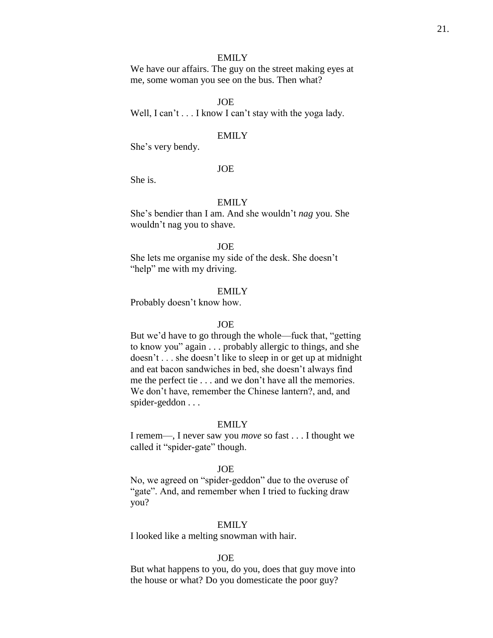We have our affairs. The guy on the street making eyes at me, some woman you see on the bus. Then what?

### JOE

Well, I can't . . . I know I can't stay with the yoga lady.

#### EMILY

She's very bendy.

### JOE

She is.

### EMILY

She's bendier than I am. And she wouldn't *nag* you. She wouldn't nag you to shave.

### JOE

She lets me organise my side of the desk. She doesn't "help" me with my driving.

#### EMILY

Probably doesn't know how.

### JOE

But we'd have to go through the whole—fuck that, "getting to know you" again . . . probably allergic to things, and she doesn't . . . she doesn't like to sleep in or get up at midnight and eat bacon sandwiches in bed, she doesn't always find me the perfect tie . . . and we don't have all the memories. We don't have, remember the Chinese lantern?, and, and spider-geddon . . .

#### EMILY

I remem—, I never saw you *move* so fast . . . I thought we called it "spider-gate" though.

#### JOE

No, we agreed on "spider-geddon" due to the overuse of "gate". And, and remember when I tried to fucking draw you?

#### EMILY

I looked like a melting snowman with hair.

### JOE

But what happens to you, do you, does that guy move into the house or what? Do you domesticate the poor guy?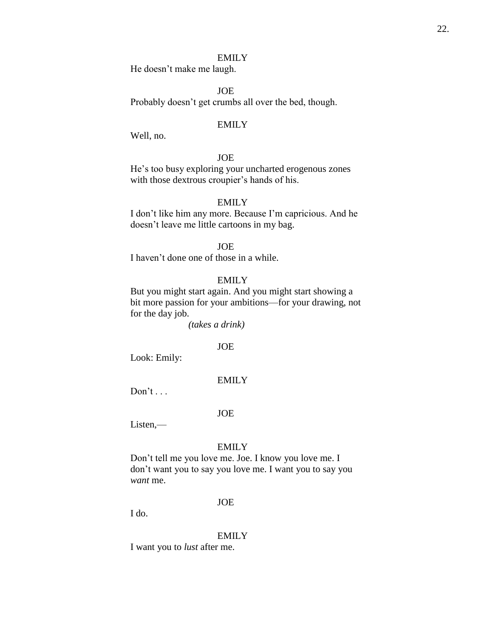He doesn't make me laugh.

JOE

Probably doesn't get crumbs all over the bed, though.

### EMILY

Well, no.

# **JOE**

He's too busy exploring your uncharted erogenous zones with those dextrous croupier's hands of his.

### EMILY

I don't like him any more. Because I'm capricious. And he doesn't leave me little cartoons in my bag.

### JOE

I haven't done one of those in a while.

# EMILY

But you might start again. And you might start showing a bit more passion for your ambitions—for your drawing, not for the day job.

*(takes a drink)*

# JOE

Look: Emily:

#### EMILY

 $Don't \ldots$ 

### JOE

Listen,—

#### EMILY

Don't tell me you love me. Joe. I know you love me. I don't want you to say you love me. I want you to say you *want* me.

### JOE

I do.

#### EMILY

I want you to *lust* after me.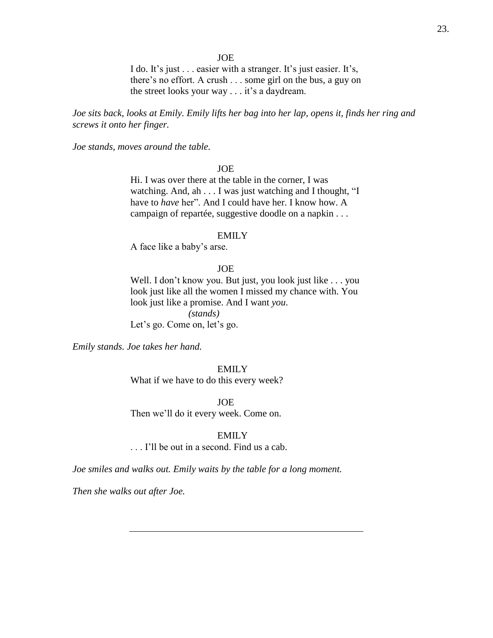I do. It's just . . . easier with a stranger. It's just easier. It's, there's no effort. A crush . . . some girl on the bus, a guy on the street looks your way . . . it's a daydream.

*Joe sits back, looks at Emily. Emily lifts her bag into her lap, opens it, finds her ring and screws it onto her finger.*

*Joe stands, moves around the table.*

# JOE

Hi. I was over there at the table in the corner, I was watching. And, ah . . . I was just watching and I thought, "I have to *have* her". And I could have her. I know how. A campaign of repartée, suggestive doodle on a napkin . . .

### EMILY

A face like a baby's arse.

### JOE

Well. I don't know you. But just, you look just like . . . you look just like all the women I missed my chance with. You look just like a promise. And I want *you*. *(stands)* Let's go. Come on, let's go.

*Emily stands. Joe takes her hand.*

#### EMILY

What if we have to do this every week?

JOE

Then we'll do it every week. Come on.

### EMILY

. . . I'll be out in a second. Find us a cab.

*Joe smiles and walks out. Emily waits by the table for a long moment.*

*Then she walks out after Joe.*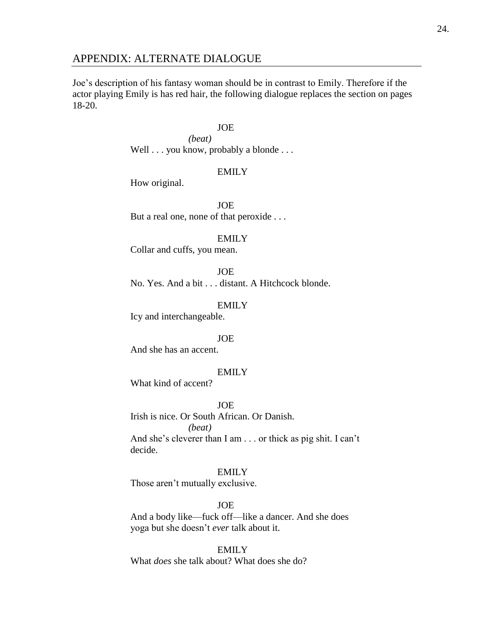# APPENDIX: ALTERNATE DIALOGUE

Joe's description of his fantasy woman should be in contrast to Emily. Therefore if the actor playing Emily is has red hair, the following dialogue replaces the section on pages 18-20.

### JOE

*(beat)* Well . . . you know, probably a blonde . . .

# EMILY

How original.

JOE But a real one, none of that peroxide . . .

#### EMILY

Collar and cuffs, you mean.

JOE

No. Yes. And a bit . . . distant. A Hitchcock blonde.

EMILY

Icy and interchangeable.

### JOE

And she has an accent.

# EMILY

What kind of accent?

# JOE

Irish is nice. Or South African. Or Danish. *(beat)* And she's cleverer than I am . . . or thick as pig shit. I can't decide.

#### EMILY

Those aren't mutually exclusive.

### JOE

And a body like—fuck off—like a dancer. And she does yoga but she doesn't *ever* talk about it.

# EMILY

What *does* she talk about? What does she do?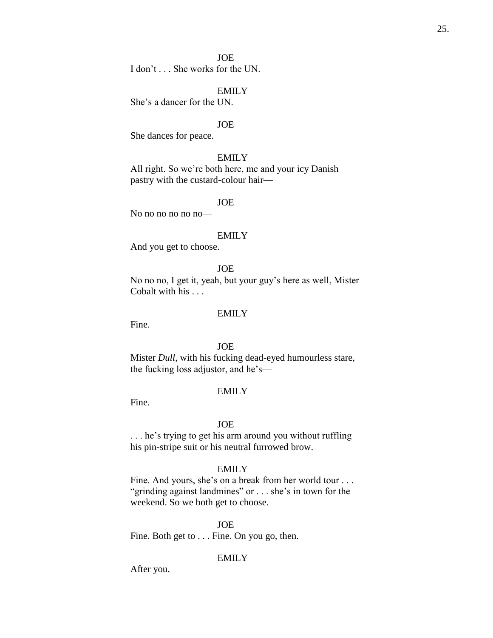I don't . . . She works for the UN.

### EMILY

She's a dancer for the UN.

### JOE

She dances for peace.

#### EMILY

All right. So we're both here, me and your icy Danish pastry with the custard-colour hair—

#### JOE

No no no no no no—

### EMILY

And you get to choose.

### JOE

No no no, I get it, yeah, but your guy's here as well, Mister Cobalt with his . . .

#### EMILY

Fine.

# JOE

Mister *Dull*, with his fucking dead-eyed humourless stare, the fucking loss adjustor, and he's—

### EMILY

Fine.

#### JOE

. . . he's trying to get his arm around you without ruffling his pin-stripe suit or his neutral furrowed brow.

### EMILY

Fine. And yours, she's on a break from her world tour . . . "grinding against landmines" or . . . she's in town for the weekend. So we both get to choose.

#### JOE

Fine. Both get to . . . Fine. On you go, then.

# EMILY

After you.